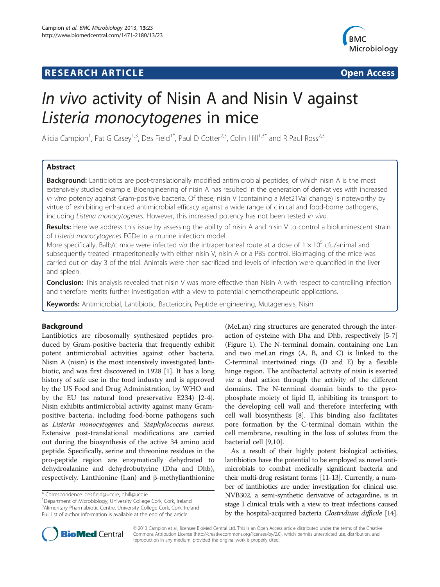# **RESEARCH ARTICLE Example 2014 CONSIDERING A RESEARCH ARTICLE**



# In vivo activity of Nisin A and Nisin V against Listeria monocytogenes in mice

Alicia Campion<sup>1</sup>, Pat G Casey<sup>1,3</sup>, Des Field<sup>1\*</sup>, Paul D Cotter<sup>2,3</sup>, Colin Hill<sup>1,3\*</sup> and R Paul Ross<sup>2,3</sup>

# Abstract

Background: Lantibiotics are post-translationally modified antimicrobial peptides, of which nisin A is the most extensively studied example. Bioengineering of nisin A has resulted in the generation of derivatives with increased in vitro potency against Gram-positive bacteria. Of these, nisin V (containing a Met21Val change) is noteworthy by virtue of exhibiting enhanced antimicrobial efficacy against a wide range of clinical and food-borne pathogens, including Listeria monocytogenes. However, this increased potency has not been tested in vivo.

Results: Here we address this issue by assessing the ability of nisin A and nisin V to control a bioluminescent strain of Listeria monocytogenes EGDe in a murine infection model.

More specifically, Balb/c mice were infected via the intraperitoneal route at a dose of  $1 \times 10^5$  cfu/animal and subsequently treated intraperitoneally with either nisin V, nisin A or a PBS control. Bioimaging of the mice was carried out on day 3 of the trial. Animals were then sacrificed and levels of infection were quantified in the liver and spleen.

Conclusion: This analysis revealed that nisin V was more effective than Nisin A with respect to controlling infection and therefore merits further investigation with a view to potential chemotherapeutic applications.

Keywords: Antimicrobial, Lantibiotic, Bacteriocin, Peptide engineering, Mutagenesis, Nisin

# Background

Lantibiotics are ribosomally synthesized peptides produced by Gram-positive bacteria that frequently exhibit potent antimicrobial activities against other bacteria. Nisin A (nisin) is the most intensively investigated lantibiotic, and was first discovered in 1928 [\[1\]](#page-6-0). It has a long history of safe use in the food industry and is approved by the US Food and Drug Administration, by WHO and by the EU (as natural food preservative E234) [[2-4](#page-6-0)]. Nisin exhibits antimicrobial activity against many Grampositive bacteria, including food-borne pathogens such as Listeria monocytogenes and Staphylococcus aureus. Extensive post-translational modifications are carried out during the biosynthesis of the active 34 amino acid peptide. Specifically, serine and threonine residues in the pro-peptide region are enzymatically dehydrated to dehydroalanine and dehydrobutyrine (Dha and Dhb), respectively. Lanthionine (Lan) and β-methyllanthionine

Department of Microbiology, University College Cork, Cork, Ireland <sup>3</sup> Alimentary Pharmabiotic Centre, University College Cork, Cork, Ireland Full list of author information is available at the end of the article

(MeLan) ring structures are generated through the interaction of cysteine with Dha and Dhb, respectively [\[5-7](#page-6-0)] (Figure [1](#page-1-0)). The N-terminal domain, containing one Lan and two meLan rings (A, B, and C) is linked to the C-terminal intertwined rings (D and E) by a flexible hinge region. The antibacterial activity of nisin is exerted via a dual action through the activity of the different domains. The N-terminal domain binds to the pyrophosphate moiety of lipid II, inhibiting its transport to the developing cell wall and therefore interfering with cell wall biosynthesis [[8\]](#page-6-0). This binding also facilitates pore formation by the C-terminal domain within the cell membrane, resulting in the loss of solutes from the bacterial cell [\[9,10](#page-6-0)].

As a result of their highly potent biological activities, lantibiotics have the potential to be employed as novel antimicrobials to combat medically significant bacteria and their multi-drug resistant forms [\[11-13](#page-6-0)]. Currently, a number of lantibiotics are under investigation for clinical use. NVB302, a semi-synthetic derivative of actagardine, is in stage I clinical trials with a view to treat infections caused by the hospital-acquired bacteria Clostridium difficile [\[14](#page-6-0)].



© 2013 Campion et al.; licensee BioMed Central Ltd. This is an Open Access article distributed under the terms of the Creative Commons Attribution License [\(http://creativecommons.org/licenses/by/2.0\)](http://creativecommons.org/licenses/by/2.0), which permits unrestricted use, distribution, and reproduction in any medium, provided the original work is properly cited.

<sup>\*</sup> Correspondence: [des.field@ucc.ie](mailto:des.field@ucc.ie); [c.hill@ucc.ie](mailto:c.hill@ucc.ie) <sup>1</sup>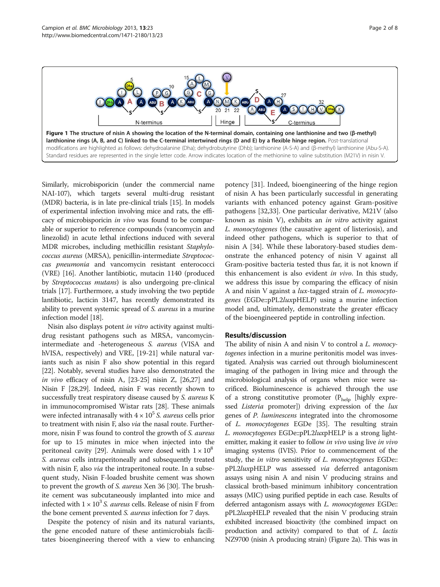<span id="page-1-0"></span>

Similarly, microbisporicin (under the commercial name NAI-107), which targets several multi-drug resistant (MDR) bacteria, is in late pre-clinical trials [\[15](#page-6-0)]. In models of experimental infection involving mice and rats, the efficacy of microbisporicin in vivo was found to be comparable or superior to reference compounds (vancomycin and linezolid) in acute lethal infections induced with several MDR microbes, including methicillin resistant Staphylococcus aureus (MRSA), penicillin-intermediate Streptococcus pneumonia and vancomycin resistant enterococci (VRE) [\[16\]](#page-6-0). Another lantibiotic, mutacin 1140 (produced by Streptococcus mutans) is also undergoing pre-clinical trials [\[17\]](#page-6-0). Furthermore, a study involving the two peptide lantibiotic, lacticin 3147, has recently demonstrated its ability to prevent systemic spread of S. aureus in a murine infection model [\[18\]](#page-6-0).

Nisin also displays potent in vitro activity against multidrug resistant pathogens such as MRSA, vancomycinintermediate and -heterogeneous S. aureus (VISA and hVISA, respectively) and VRE, [\[19-21\]](#page-6-0) while natural variants such as nisin F also show potential in this regard [[22](#page-6-0)]. Notably, several studies have also demonstrated the in vivo efficacy of nisin A, [[23](#page-6-0)-[25](#page-6-0)] nisin Z, [[26,27](#page-6-0)] and Nisin F [[28,29](#page-6-0)]. Indeed, nisin F was recently shown to successfully treat respiratory disease caused by S. aureus K in immunocompromised Wistar rats [[28](#page-6-0)]. These animals were infected intranasally with  $4 \times 10^5$  *S. aureus* cells prior to treatment with nisin F, also via the nasal route. Furthermore, nisin F was found to control the growth of *S. aureus* for up to 15 minutes in mice when injected into the peritoneal cavity [\[29\]](#page-6-0). Animals were dosed with  $1 \times 10^{\circ}$ S. aureus cells intraperitoneally and subsequently treated with nisin F, also *via* the intraperitoneal route. In a subsequent study, Nisin F-loaded brushite cement was shown to prevent the growth of S. aureus Xen 36 [[30](#page-6-0)]. The brushite cement was subcutaneously implanted into mice and infected with  $1 \times 10^3$  S. *aureus* cells. Release of nisin F from the bone cement prevented S. aureus infection for 7 days.

Despite the potency of nisin and its natural variants, the gene encoded nature of these antimicrobials facilitates bioengineering thereof with a view to enhancing

potency [\[31](#page-6-0)]. Indeed, bioengineering of the hinge region of nisin A has been particularly successful in generating variants with enhanced potency against Gram-positive pathogens [[32](#page-6-0),[33](#page-6-0)]. One particular derivative, M21V (also known as nisin V), exhibits an in vitro activity against L. monocytogenes (the causative agent of listeriosis), and indeed other pathogens, which is superior to that of nisin A [[34\]](#page-6-0). While these laboratory-based studies demonstrate the enhanced potency of nisin V against all Gram-positive bacteria tested thus far, it is not known if this enhancement is also evident in vivo. In this study, we address this issue by comparing the efficacy of nisin A and nisin V against a lux-tagged strain of L. monocytogenes (EGDe::pPL2luxpHELP) using a murine infection model and, ultimately, demonstrate the greater efficacy of the bioengineered peptide in controlling infection.

# Results/discussion

The ability of nisin A and nisin V to control a L. monocytogenes infection in a murine peritonitis model was investigated. Analysis was carried out through bioluminescent imaging of the pathogen in living mice and through the microbiological analysis of organs when mice were sacrificed. Bioluminescence is achieved through the use of a strong constitutive promoter  $(P_{\text{help}})$  [highly expressed Listeria promoter]) driving expression of the lux genes of P. luminescens integrated into the chromosome of L. monocytogenes EGDe [\[35\]](#page-6-0). The resulting strain L. monocytogenes EGDe::pPL2luxpHELP is a strong lightemitter, making it easier to follow in vivo using live in vivo imaging systems (IVIS). Prior to commencement of the study, the *in vitro* sensitivity of *L. monocytogenes* EGDe:: pPL2luxpHELP was assessed via deferred antagonism assays using nisin A and nisin V producing strains and classical broth-based minimum inhibitory concentration assays (MIC) using purified peptide in each case. Results of deferred antagonism assays with L. monocytogenes EGDe:: pPL2luxpHELP revealed that the nisin V producing strain exhibited increased bioactivity (the combined impact on production and activity) compared to that of L. lactis NZ9700 (nisin A producing strain) (Figure [2a](#page-2-0)). This was in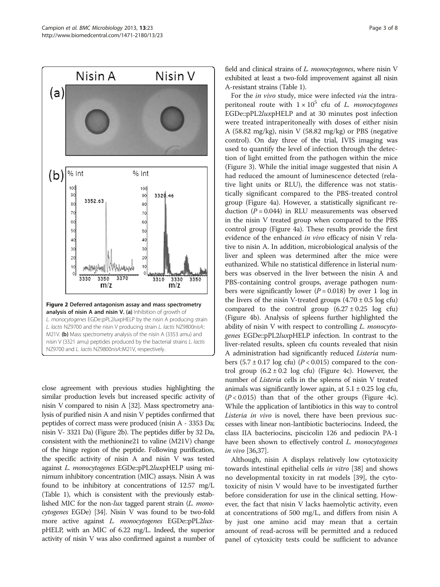<span id="page-2-0"></span>

close agreement with previous studies highlighting the similar production levels but increased specific activity of nisin V compared to nisin A [\[32](#page-6-0)]. Mass spectrometry analysis of purified nisin A and nisin V peptides confirmed that peptides of correct mass were produced (nisin A - 3353 Da; nisin V- 3321 Da) (Figure 2b). The peptides differ by 32 Da, consistent with the methionine21 to valine (M21V) change of the hinge region of the peptide. Following purification, the specific activity of nisin A and nisin V was tested against L. monocytogenes EGDe::pPL2luxpHELP using minimum inhibitory concentration (MIC) assays. Nisin A was found to be inhibitory at concentrations of 12.57 mg/L (Table [1](#page-3-0)), which is consistent with the previously established MIC for the non-lux tagged parent strain (L. monocytogenes EGDe) [[34](#page-6-0)]. Nisin V was found to be two-fold more active against L. monocytogenes EGDe::pPL2luxpHELP, with an MIC of 6.22 mg/L. Indeed, the superior activity of nisin V was also confirmed against a number of field and clinical strains of L. monocytogenes, where nisin V exhibited at least a two-fold improvement against all nisin A-resistant strains (Table [1\)](#page-3-0).

For the *in vivo* study, mice were infected *via* the intraperitoneal route with  $1 \times 10^5$  cfu of *L. monocytogenes* EGDe::pPL2luxpHELP and at 30 minutes post infection were treated intraperitoneally with doses of either nisin A (58.82 mg/kg), nisin V (58.82 mg/kg) or PBS (negative control). On day three of the trial, IVIS imaging was used to quantify the level of infection through the detection of light emitted from the pathogen within the mice (Figure [3\)](#page-3-0). While the initial image suggested that nisin A had reduced the amount of luminescence detected (relative light units or RLU), the difference was not statistically significant compared to the PBS-treated control group (Figure [4](#page-4-0)a). However, a statistically significant reduction  $(P = 0.044)$  in RLU measurements was observed in the nisin V treated group when compared to the PBS control group (Figure [4a](#page-4-0)). These results provide the first evidence of the enhanced in vivo efficacy of nisin V relative to nisin A. In addition, microbiological analysis of the liver and spleen was determined after the mice were euthanized. While no statistical difference in listerial numbers was observed in the liver between the nisin A and PBS-containing control groups, average pathogen numbers were significantly lower ( $P = 0.018$ ) by over 1 log in the livers of the nisin V-treated groups  $(4.70 \pm 0.5 \text{ log cftu})$ compared to the control group  $(6.27 \pm 0.25)$  log cfu) (Figure [4](#page-4-0)b). Analysis of spleens further highlighted the ability of nisin V with respect to controlling L. *monocyto*genes EGDe::pPL2luxpHELP infection. In contrast to the liver-related results, spleen cfu counts revealed that nisin A administration had significantly reduced Listeria numbers  $(5.7 \pm 0.17 \log \text{cft})$   $(P < 0.015)$  compared to the control group  $(6.2 \pm 0.2 \text{ log} \text{ cft})$  (Figure [4](#page-4-0)c). However, the number of Listeria cells in the spleens of nisin V treated animals was significantly lower again, at  $5.1 \pm 0.25$  log cfu,  $(P < 0.015)$  than that of the other groups (Figure [4](#page-4-0)c). While the application of lantibiotics in this way to control Listeria in vivo is novel, there have been previous successes with linear non-lantibiotic bacteriocins. Indeed, the class IIA bacteriocins, piscicolin 126 and pediocin PA-1 have been shown to effectively control *L. monocytogenes* in vivo [[36,37](#page-6-0)].

Although, nisin A displays relatively low cytotoxicity towards intestinal epithelial cells *in vitro* [\[38\]](#page-6-0) and shows no developmental toxicity in rat models [\[39](#page-6-0)], the cytotoxicity of nisin V would have to be investigated further before consideration for use in the clinical setting. However, the fact that nisin V lacks haemolytic activity, even at concentrations of 500 mg/L, and differs from nisin A by just one amino acid may mean that a certain amount of read-across will be permitted and a reduced panel of cytoxicity tests could be sufficient to advance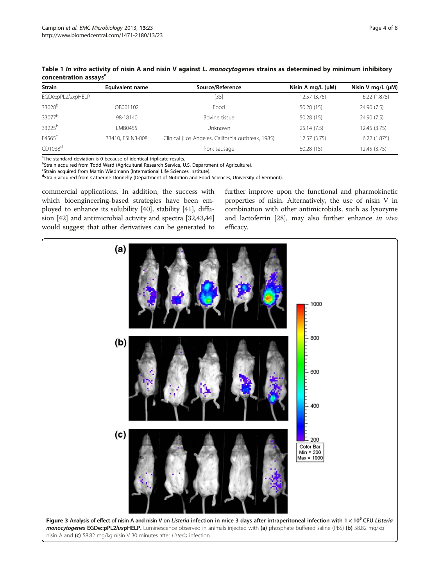| <b>Strain</b>       | <b>Equivalent name</b> | Source/Reference                                  | Nisin A mg/L $(\mu M)$ | Nisin V mg/L $(\mu M)$ |
|---------------------|------------------------|---------------------------------------------------|------------------------|------------------------|
| EGDe::pPL2/uxpHELP  |                        | [35]                                              | 12.57 (3.75)           | 6.22(1.875)            |
| 33028 <sup>b</sup>  | OB001102               | Food                                              | 50.28(15)              | 24.90 (7.5)            |
| 33077 <sup>b</sup>  | 98-18140               | Bovine tissue                                     | 50.28(15)              | 24.90 (7.5)            |
| 33225 <sup>b</sup>  | I MB0455               | Unknown                                           | 25.14(7.5)             | 12.45(3.75)            |
| F4565 <sup>c</sup>  | 33410, FSLN3-008       | Clinical (Los Angeles, California outbreak, 1985) | 12.57(3.75)            | 6.22(1.875)            |
| CD1038 <sup>d</sup> |                        | Pork sausage                                      | 50.28(15)              | 12.45(3.75)            |

<span id="page-3-0"></span>Table 1 In vitro activity of nisin A and nisin V against L. monocytogenes strains as determined by minimum inhibitory concentration assays<sup>a</sup>

<sup>a</sup>The standard deviation is 0 because of identical triplicate results.

<sup>b</sup>Strain acquired from Todd Ward (Agricultural Research Service, U.S. Department of Agriculture).

<sup>c</sup>Strain acquired from Martin Wiedmann (International Life Sciences Institute).

<sup>d</sup>Strain acquired from Catherine Donnelly (Department of Nutrition and Food Sciences, University of Vermont).

commercial applications. In addition, the success with which bioengineering-based strategies have been employed to enhance its solubility [\[40\]](#page-6-0), stability [[41\]](#page-6-0), diffusion [[42](#page-6-0)] and antimicrobial activity and spectra [\[32,43,44](#page-6-0)] would suggest that other derivatives can be generated to

further improve upon the functional and pharmokinetic properties of nisin. Alternatively, the use of nisin V in combination with other antimicrobials, such as lysozyme and lactoferrin [[28](#page-6-0)], may also further enhance in vivo efficacy.

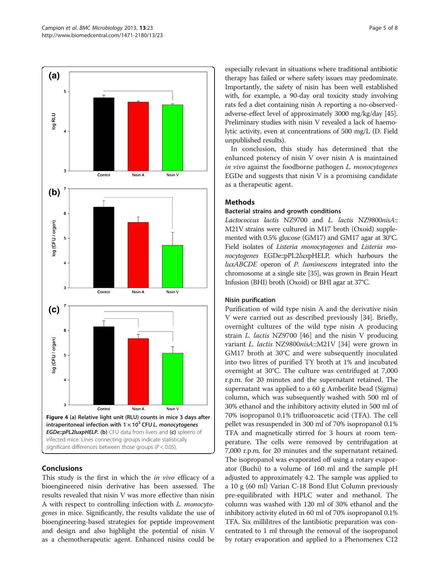<span id="page-4-0"></span>

# Conclusions

This study is the first in which the in vivo efficacy of a bioengineered nisin derivative has been assessed. The results revealed that nisin V was more effective than nisin A with respect to controlling infection with L. monocytogenes in mice. Significantly, the results validate the use of bioengineering-based strategies for peptide improvement and design and also highlight the potential of nisin V as a chemotherapeutic agent. Enhanced nisins could be

especially relevant in situations where traditional antibiotic therapy has failed or where safety issues may predominate. Importantly, the safety of nisin has been well established with, for example, a 90-day oral toxicity study involving rats fed a diet containing nisin A reporting a no-observedadverse-effect level of approximately 3000 mg/kg/day [\[45](#page-7-0)]. Preliminary studies with nisin V revealed a lack of haemolytic activity, even at concentrations of 500 mg/L (D. Field unpublished results).

In conclusion, this study has determined that the enhanced potency of nisin V over nisin A is maintained in vivo against the foodborne pathogen L. monocytogenes EGDe and suggests that nisin V is a promising candidate as a therapeutic agent.

# **Methods**

# Bacterial strains and growth conditions

Lactococcus lactis NZ9700 and L. lactis NZ9800nisA:: M21V strains were cultured in M17 broth (Oxoid) supplemented with 0.5% glucose (GM17) and GM17 agar at 30°C. Field isolates of Listeria monocytogenes and Listeria monocytogenes EGDe::pPL2luxpHELP, which harbours the luxABCDE operon of P. luminescens integrated into the chromosome at a single site [\[35](#page-6-0)], was grown in Brain Heart Infusion (BHI) broth (Oxoid) or BHI agar at 37°C.

### Nisin purification

Purification of wild type nisin A and the derivative nisin V were carried out as described previously [\[34](#page-6-0)]. Briefly, overnight cultures of the wild type nisin A producing strain L. lactis NZ9700 [\[46](#page-7-0)] and the nisin V producing variant L. lactis NZ9800nisA::M21V [\[34](#page-6-0)] were grown in GM17 broth at 30°C and were subsequently inoculated into two litres of purified TY broth at 1% and incubated overnight at 30°C. The culture was centrifuged at 7,000 r.p.m. for 20 minutes and the supernatant retained. The supernatant was applied to a 60 g Amberlite bead (Sigma) column, which was subsequently washed with 500 ml of 30% ethanol and the inhibitory activity eluted in 500 ml of 70% isopropanol 0.1% trifluoroacetic acid (TFA). The cell pellet was resuspended in 300 ml of 70% isopropanol 0.1% TFA and magnetically stirred for 3 hours at room temperature. The cells were removed by centrifugation at 7,000 r.p.m. for 20 minutes and the supernatant retained. The isopropanol was evaporated off using a rotary evaporator (Buchi) to a volume of 160 ml and the sample pH adjusted to approximately 4.2. The sample was applied to a 10 g (60 ml) Varian C-18 Bond Elut Column previously pre-equilibrated with HPLC water and methanol. The column was washed with 120 ml of 30% ethanol and the inhibitory activity eluted in 60 ml of 70% isopropanol 0.1% TFA. Six millilitres of the lantibiotic preparation was concentrated to 1 ml through the removal of the isopropanol by rotary evaporation and applied to a Phenomenex C12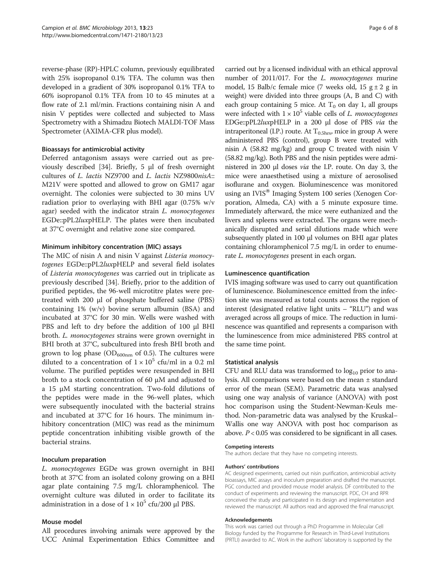reverse-phase (RP)-HPLC column, previously equilibrated with 25% isopropanol 0.1% TFA. The column was then developed in a gradient of 30% isopropanol 0.1% TFA to 60% isopropanol 0.1% TFA from 10 to 45 minutes at a flow rate of 2.1 ml/min. Fractions containing nisin A and nisin V peptides were collected and subjected to Mass Spectrometry with a Shimadzu Biotech MALDI-TOF Mass Spectrometer (AXIMA-CFR plus model).

### Bioassays for antimicrobial activity

Deferred antagonism assays were carried out as previously described [[34\]](#page-6-0). Briefly, 5 μl of fresh overnight cultures of L. lactis NZ9700 and L. lactis NZ9800nisA:: M21V were spotted and allowed to grow on GM17 agar overnight. The colonies were subjected to 30 mins UV radiation prior to overlaying with BHI agar (0.75% w/v agar) seeded with the indicator strain L. monocytogenes EGDe::pPL2luxpHELP. The plates were then incubated at 37°C overnight and relative zone size compared.

### Minimum inhibitory concentration (MIC) assays

The MIC of nisin A and nisin V against *Listeria monocy*togenes EGDe::pPL2luxpHELP and several field isolates of Listeria monocytogenes was carried out in triplicate as previously described [\[34\]](#page-6-0). Briefly, prior to the addition of purified peptides, the 96-well microtitre plates were pretreated with 200 μl of phosphate buffered saline (PBS) containing 1% (w/v) bovine serum albumin (BSA) and incubated at 37°C for 30 min. Wells were washed with PBS and left to dry before the addition of 100 μl BHI broth. L. monocytogenes strains were grown overnight in BHI broth at 37°C, subcultured into fresh BHI broth and grown to log phase ( $OD<sub>600nm</sub>$  of 0.5). The cultures were diluted to a concentration of  $1 \times 10^5$  cfu/ml in a 0.2 ml volume. The purified peptides were resuspended in BHI broth to a stock concentration of 60 μM and adjusted to a 15 μM starting concentration. Two-fold dilutions of the peptides were made in the 96-well plates, which were subsequently inoculated with the bacterial strains and incubated at 37°C for 16 hours. The minimum inhibitory concentration (MIC) was read as the minimum peptide concentration inhibiting visible growth of the bacterial strains.

#### Inoculum preparation

L. monocytogenes EGDe was grown overnight in BHI broth at 37°C from an isolated colony growing on a BHI agar plate containing 7.5 mg/L chloramphenicol. The overnight culture was diluted in order to facilitate its administration in a dose of  $1 \times 10^5$  cfu/200 μl PBS.

#### Mouse model

All procedures involving animals were approved by the UCC Animal Experimentation Ethics Committee and

carried out by a licensed individual with an ethical approval number of 2011/017. For the L. monocytogenes murine model, 15 Balb/c female mice (7 weeks old, 15  $g \pm 2 g$  in weight) were divided into three groups (A, B and C) with each group containing 5 mice. At  $T_0$  on day 1, all groups were infected with  $1 \times 10^5$  viable cells of *L. monocytogenes* EDGe::pPL2luxpHELP in a 200 μl dose of PBS via the intraperitoneal (I.P.) route. At  $T_{0.5hrs}$ , mice in group A were administered PBS (control), group B were treated with nisin A (58.82 mg/kg) and group C treated with nisin V (58.82 mg/kg). Both PBS and the nisin peptides were administered in 200 μl doses via the I.P. route. On day 3, the mice were anaesthetised using a mixture of aerosolised isoflurane and oxygen. Bioluminescence was monitored using an IVIS $\textdegree$  Imaging System 100 series (Xenogen Corporation, Almeda, CA) with a 5 minute exposure time. Immediately afterward, the mice were euthanized and the livers and spleens were extracted. The organs were mechanically disrupted and serial dilutions made which were subsequently plated in 100 μl volumes on BHI agar plates containing chloramphenicol 7.5 mg/L in order to enumerate L. *monocytogenes* present in each organ.

#### Luminescence quantification

IVIS imaging software was used to carry out quantification of luminescence. Bioluminescence emitted from the infection site was measured as total counts across the region of interest (designated relative light units – "RLU") and was averaged across all groups of mice. The reduction in luminescence was quantified and represents a comparison with the luminescence from mice administered PBS control at the same time point.

#### Statistical analysis

CFU and RLU data was transformed to  $log_{10}$  prior to analysis. All comparisons were based on the mean ± standard error of the mean (SEM). Parametric data was analysed using one way analysis of variance (ANOVA) with post hoc comparison using the Student-Newman-Keuls method. Non-parametric data was analysed by the Kruskal– Wallis one way ANOVA with post hoc comparison as above.  $P < 0.05$  was considered to be significant in all cases.

#### Competing interests

The authors declare that they have no competing interests.

#### Authors' contributions

AC designed experiments, carried out nisin purification, antimicrobial activity bioassays, MIC assays and inoculum preparation and drafted the manuscript. PGC conducted and provided mouse model analysis. DF contributed to the conduct of experiments and reviewing the manuscript. PDC, CH and RPR conceived the study and participated in its design and implementation and reviewed the manuscript. All authors read and approved the final manuscript.

#### Acknowledgements

This work was carried out through a PhD Programme in Molecular Cell Biology funded by the Programme for Research in Third-Level Institutions (PRTLI) awarded to AC. Work in the authors' laboratory is supported by the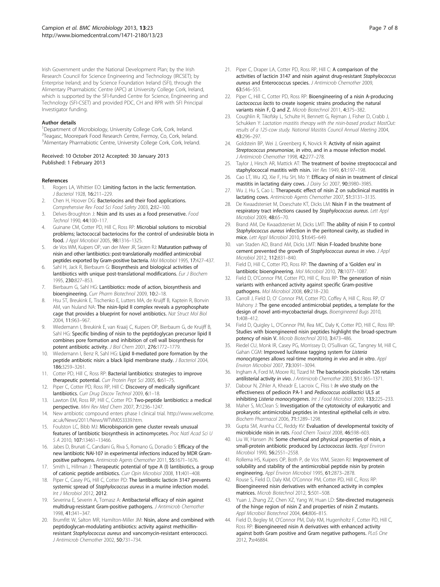<span id="page-6-0"></span>Irish Government under the National Development Plan; by the Irish Research Council for Science Engineering and Technology (IRCSET); by Enterprise Ireland; and by Science Foundation Ireland (SFI), through the Alimentary Pharmabiotic Centre (APC) at University College Cork, Ireland, which is supported by the SFI-funded Centre for Science, Engineering and Technology (SFI-CSET) and provided PDC, CH and RPR with SFI Principal Investigator funding.

#### Author details

<sup>1</sup>Department of Microbiology, University College Cork, Cork, Ireland. <sup>2</sup>Teagasc, Moorepark Food Research Centre, Fermoy, Co, Cork, Ireland. <sup>3</sup> Alimentary Pharmabiotic Centre, University College Cork, Cork, Ireland.

#### Received: 10 October 2012 Accepted: 30 January 2013 Published: 1 February 2013

#### References

- Rogers LA, Whittier EO: Limiting factors in the lactic fermentation. J Bacteriol 1928, 16:211–229.
- 2. Chen H, Hoover DG: Bacteriocins and their food applications. Comprehensive Rev Food Sci Food Safety 2003, 2:82–100.
- 3. Delves-Broughton J: Nisin and its uses as a food preservative. Food Technol 1990, 44:100–117.
- 4. Guinane CM, Cotter PD, Hill C, Ross RP: Microbial solutions to microbial problems; lactococcal bacteriocins for the control of undesirable biota in food. J Appl Microbiol 2005, 98:1316–1325.
- de Vos WM, Kuipers OP, van der Meer JR, Siezen RJ: Maturation pathway of nisin and other lantibiotics: post-translationally modified antimicrobial peptides exported by Gram-positive bacteria. Mol Microbiol 1995, 17:427–437.
- 6. Sahl H, Jack R, Bierbaum G: Biosynthesis and biological activities of lantibiotics with unique post-translational modifications. Eur J Biochem 1995, 230:827–853.
- 7. Bierbaum G, Sahl HG: Lantibiotics: mode of action, biosynthesis and bioengineering. Curr Pharm Biotechnol 2009, 10:2–18.
- 8. Hsu ST, Breukink E, Tischenko E, Lutters MA, de Kruijff B, Kaptein R, Bonvin AM, van Nuland NA: The nisin-lipid II complex reveals a pyrophosphate cage that provides a blueprint for novel antibiotics. Nat Struct Mol Biol 2004, 11:963–967.
- 9. Wiedemann I, Breukink E, van Kraaij C, Kuipers OP, Bierbaum G, de Kruijff B, Sahl HG: Specific binding of nisin to the peptidoglycan precursor lipid II combines pore formation and inhibition of cell wall biosynthesis for potent antibiotic activity. J Biol Chem 2001, 276:1772–1779.
- 10. Wiedemann I, Benz R, Sahl HG: Lipid II-mediated pore formation by the peptide antibiotic nisin: a black lipid membrane study. J Bacteriol 2004, 186:3259–3261.
- 11. Cotter PD, Hill C, Ross RP: Bacterial lantibiotics: strategies to improve therapeutic potential. Curr Protein Pept Sci 2005, 6:61-75.
- Piper C, Cotter PD, Ross RP, Hill C: Discovery of medically significant lantibiotics. Curr Drug Discov Technol 2009, 6:1-18.
- 13. Lawton EM, Ross RP, Hill C, Cotter PD: Two-peptide lantibiotics: a medical perspective. Mini Rev Med Chem 2007, 7:1236–1247.
- 14. New antibiotic compound enters phase I clinical trial. [http://www.wellcome.](http://www.wellcome.ac.uk/News/2011/News/WTVM053339.htm) [ac.uk/News/2011/News/WTVM053339.htm](http://www.wellcome.ac.uk/News/2011/News/WTVM053339.htm).
- 15. Foulston LC, Bibb MJ: Microbisporicin gene cluster reveals unusual features of lantibiotic biosynthesis in actinomycetes. Proc Natl Acad Sci U S A 2010, 107:13461–13466.
- 16. Jabes D, Brunati C, Candiani G, Riva S, Romano G, Donadio S: Efficacy of the new lantibiotic NAI-107 in experimental infections induced by MDR Grampositive pathogens. Antimicrob Agents Chemother 2011, 55:1671–1676.
- 17. Smith L, Hillman J: Therapeutic potential of type A (I) lantibiotics, a group of cationic peptide antibiotics. Curr Opin Microbiol 2008, 11:401–408.
- 18. Piper C, Casey PG, Hill C, Cotter PD: The lantibiotic lacticin 3147 prevents systemic spread of Staphylococcus aureus in a murine infection model. Int J Microbiol 2012, 2012.
- 19. Severina E, Severin A, Tomasz A: Antibacterial efficacy of nisin against multidrug-resistant Gram-positive pathogens. J Antimicrob Chemother 1998, 41:341–347.
- 20. Brumfitt W, Salton MR, Hamilton-Miller JM: Nisin, alone and combined with peptidoglycan-modulating antibiotics: activity against methicillinresistant Staphylococcus aureus and vancomycin-resistant enterococci. J Antimicrob Chemother 2002, 50:731–734.
- 21. Piper C, Draper LA, Cotter PD, Ross RP, Hill C: A comparison of the activities of lacticin 3147 and nisin against drug-resistant Staphylococcus aureus and Enterococcus species. J Antimicrob Chemother 2009, 63:546–551.
- 22. Piper C, Hill C, Cotter PD, Ross RP: Bioengineering of a nisin A-producing Lactococcus lactis to create isogenic strains producing the natural variants nisin F, Q and Z. Microb Biotechnol 2011, 4:375–382.
- 23. Coughlin R, Tikofsky L, Schulte H, Bennett G, Rejman J, Fisher D, Crabb J, Schukken Y: Lactation mastitis therapy with the nisin-based product MastOut: results of a 125-cow study. National Mastitis Council Annual Meeting 2004, 43:296–297.
- 24. Goldstein BP, Wei J, Greenberg K, Novick R: Activity of nisin against Streptococcus pneumoniae, in vitro, and in a mouse infection model. J Antimicrob Chemother 1998, 42:277–278.
- 25. Taylor J, Hirsch AR, Mattick AT: The treatment of bovine streptococcal and staphylococcal mastitis with nisin. Vet Res 1949, 61:197–198.
- 26. Cao LT, Wu JQ, Xie F, Hu SH, Mo Y: Efficacy of nisin in treatment of clinical mastitis in lactating dairy cows. J Dairy Sci 2007, 90:3980-3985.
- 27. Wu J, Hu S, Cao L: Therapeutic effect of nisin Z on subclinical mastitis in lactating cows. Antimicrob Agents Chemother 2007, 51:3131–3135.
- 28. De Kwaadsteniet M, Doeschate KT, Dicks LM: Nisin F in the treatment of respiratory tract infections caused by Staphylococcus aureus. Lett Appl Microbiol 2009, 48:65–70.
- 29. Brand AM, De Kwaadsteniet M, Dicks LMT: The ability of nisin F to control Staphylococcus aureus infection in the peritoneal cavity, as studied in mice. Lett Appl Microbiol 2010, 51:645–649.
- 30. van Staden AD, Brand AM, Dicks LMT: Nisin F-loaded brushite bone cement prevented the growth of Staphylococcus aureus in vivo. J Appl Microbiol 2012, 112:831–840.
- 31. Field D, Hill C, Cotter PD, Ross RP: The dawning of a 'Golden era' in lantibiotic bioengineering. Mol Microbiol 2010, 78:1077–1087.
- 32. Field D, O'Connor PM, Cotter PD, Hill C, Ross RP: The generation of nisin variants with enhanced activity against specific Gram-positive pathogens. Mol Microbiol 2008, 69:218–230.
- 33. Carroll J, Field D, O' Connor PM, Cotter PD, Coffey A, Hill C, Ross RP, O' Mahony J: The gene encoded antimicrobial peptides, a template for the design of novel anti-mycobacterial drugs. Bioengineered Bugs 2010, 1:408–412.
- 34. Field D, Quigley L, O'Connor PM, Rea MC, Daly K, Cotter PD, Hill C, Ross RP: Studies with bioengineered nisin peptides highlight the broad-spectrum potency of nisin V. Microb Biotechnol 2010, 3:473–486.
- 35. Riedel CU, Monk IR, Casey PG, Morrissey D, O'Sullivan GC, Tangney M, Hill C, Gahan CGM: Improved luciferase tagging system for Listeria monocytogenes allows real-time monitoring in vivo and in vitro. Appl Environ Microbiol 2007, 73:3091–3094.
- 36. Ingham A, Ford M, Moore RJ, Tizard M: The bacteriocin piscicolin 126 retains antilisterial activity in vivo. J Antimicrob Chemother 2003, 51:1365-1371.
- 37. Dabour N, Zihler A, Kheadr E, Lacroix C, Fliss I: In vivo study on the effectiveness of pediocin PA-1 and Pediococcus acidilactici UL5 at inhibiting Listeria monocytogenes. Int J Food Microbiol 2009, 133:225-233.
- 38. Maher S, McClean S: Investigation of the cytotoxicity of eukaryotic and prokaryotic antimicrobial peptides in intestinal epithelial cells in vitro. Biochem Pharmacol 2006, 71:1289–1298.
- 39. Gupta SM, Aranha CC, Reddy KV: Evaluation of developmental toxicity of microbicide nisin in rats. Food Chem Toxicol 2008, 46:598–603.
- 40. Liu W, Hansen JN: Some chemical and physical properties of nisin, a small-protein antibiotic produced by Lactococcus lactis. Appl Environ Microbiol 1990, 56:2551–2558.
- 41. Rollema HS, Kuipers OP, Both P, de Vos WM, Siezen RJ: Improvement of solubility and stability of the antimicrobial peptide nisin by protein engineering. Appl Environ Microbiol 1995, 61:2873–2878.
- 42. Rouse S, Field D, Daly KM, O'Connor PM, Cotter PD, Hill C, Ross RP: Bioengineered nisin derivatives with enhanced activity in complex matrices. Microb Biotechnol 2012, 5:501–508.
- 43. Yuan J, Zhang ZZ, Chen XZ, Yang W, Huan LD: Site-directed mutagenesis of the hinge region of nisin Z and properties of nisin Z mutants. Appl Microbiol Biotechnol 2004, 64:806–815.
- 44. Field D, Begley M, O'Connor PM, Daly KM, Hugenholtz F, Cotter PD, Hill C, Ross RP: Bioengineered nisin A derivatives with enhanced activity against both Gram positive and Gram negative pathogens. PLoS One 2012, 7:e46884.